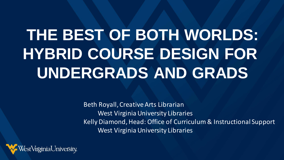# **THE BEST OF BOTH WORLDS: HYBRID COURSE DESIGN FOR UNDERGRADS AND GRADS**

Beth Royall, Creative Arts Librarian West Virginia University Libraries Kelly Diamond, Head: Office of Curriculum & Instructional Support West Virginia University Libraries

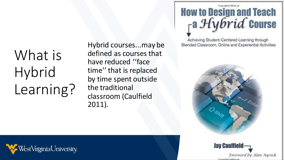What is Hybrid Learning?

Hybrid courses...may be defined as courses that have reduced ''face time'' that is replaced by time spent outside the traditional classroom (Caulfield 2011).

#### Copyrighted Material **How to Design and Teach** ra Hybrid Course

Achieving Student-Centered Learning through Blended Classroom, Online and Experiential Activities





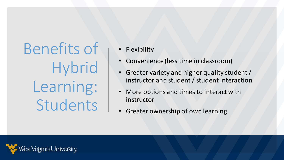Benefits of **Hybrid** Learning: Students

**Flexibility** 

- Convenience (less time in classroom)
- Greater variety and higher quality student / instructor and student / student interaction
- More options and times to interact with instructor
- Greater ownership of own learning

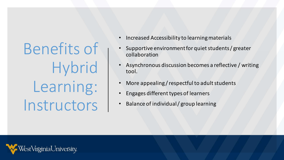Benefits of **Hybrid** Learning: Instructors

- Increased Accessibility to learning materials
- Supportive environment for quiet students / greater collaboration
- Asynchronous discussion becomes a reflective / writing tool.
- More appealing / respectful to adult students
- Engages different types of learners
- Balance of individual / group learning

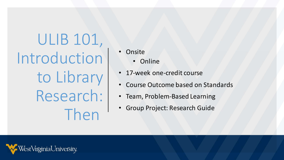ULIB 101, Introduction to Library Research: Then

• Onsite

• Online

- 17-week one-credit course
- Course Outcome based on Standards
- Team, Problem-Based Learning
- Group Project: Research Guide

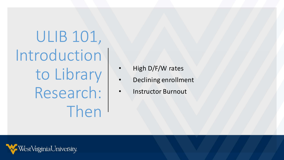ULIB 101, Introduction to Library Research: Then

- High D/F/W rates
- Declining enrollment
- Instructor Burnout

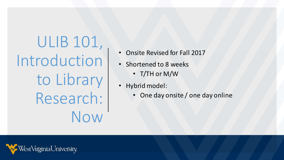ULIB 101, Introduction to Library Research: Now

- Onsite Revised for Fall 2017
- Shortened to 8 weeks
	- T/TH or M/W
- Hybrid model:
	- One day onsite / one day online

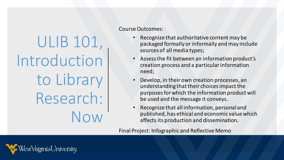ULIB 101, Introduction to Library Research: Now

Course Outcomes:

- Recognize that authoritative content may be packaged formally or informally and may include sources of all media types;
- Assess the fit between an information product's creation process and a particular information need;
- Develop, in their own creation processes, an understanding that their choices impact the purposes for which the information product will be used and the message it conveys.
- Recognize that all information, personal and published, has ethical and economic value which affects its production and dissemination.

Final Project: Infographic and Reflective Memo

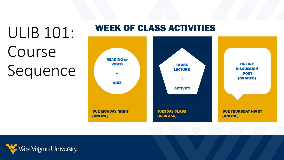# ULIB 101: Course Sequence





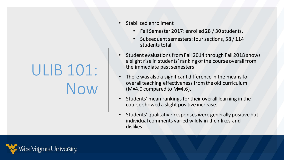# ULIB 101: Now

- Stabilized enrollment
	- Fall Semester 2017: enrolled 28 / 30 students.
	- Subsequent semesters: four sections, 58 / 114 students total
- Student evaluations from Fall 2014 through Fall 2018 shows a slight rise in students' ranking of the course overall from the immediate past semesters.
- There was also a significant difference in the means for overall teaching effectiveness from the old curriculum (M=4.0 compared to M=4.6).
- Students' mean rankings for their overall learning in the course showed a slight positive increase.
- Students' qualitative responses were generally positive but individual comments varied wildly in their likes and dislikes.

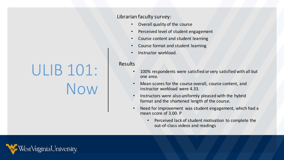# ULIB 101:

Now

#### Librarian faculty survey:

- Overall quality of the course
- Perceived level of student engagement
- Course content and student learning
- Course format and student learning
- Instructor workload.

#### Results

- 100% respondents were satisfied or very satisfied with all but one area.
- Mean scores for the course overall, course content, and instructor workload were 4.33.
- Instructors were also uniformly pleased with the hybrid format and the shortened length of the course.
- Need for improvement was student engagement, which had a mean score of 3.00. P
	- Perceived lack of student motivation to complete the out-of-class videos and readings

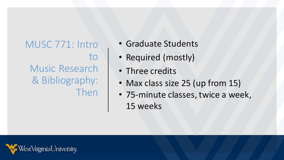## MUSC 771: Intro to Music Research & Bibliography: Then

- Graduate Students
- Required (mostly)
- Three credits
- Max class size 25 (up from 15)
- 75-minute classes, twice a week, 15 weeks

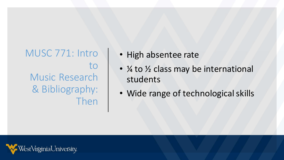MUSC 771: Intro to Music Research & Bibliography: Then

- High absentee rate
- $\frac{1}{4}$  to  $\frac{1}{2}$  class may be international students
- Wide range of technological skills

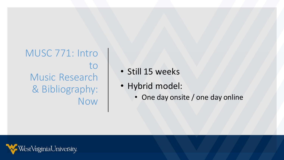MUSC 771: Intro to Music Research & Bibliography: Now

- Still 15 weeks
- Hybrid model:
	- One day onsite / one day online

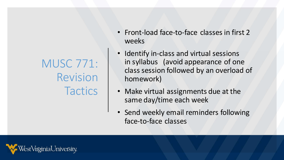MUSC 771: Revision **Tactics** 

- Front-load face-to-face classes in first 2 weeks
- Identify in-class and virtual sessions in syllabus (avoid appearance of one class session followed by an overload of homework)
- Make virtual assignments due at the same day/time each week
- Send weekly email reminders following face-to-face classes

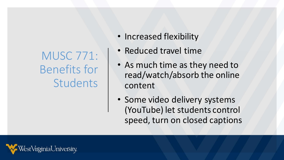MUSC 771: Benefits for **Students** 

- Increased flexibility
- Reduced travel time
- As much time as they need to read/watch/absorb the online content
- Some video delivery systems (YouTube) let students control speed, turn on closed captions

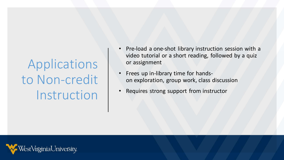Applications to Non-credit Instruction

- Pre-load a one-shot library instruction session with a video tutorial or a short reading, followed by a quiz or assignment
- Frees up in-library time for handson exploration, group work, class discussion
- Requires strong support from instructor

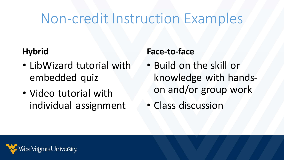## Non-credit Instruction Examples

#### **Hybrid**

- LibWizard tutorial with embedded quiz
- Video tutorial with individual assignment

#### **Face-to-face**

- Build on the skill or knowledge with handson and/or group work
- Class discussion

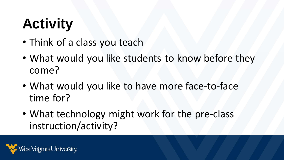# **Activity**

- Think of a class you teach
- What would you like students to know before they come?
- What would you like to have more face-to-face time for?
- What technology might work for the pre-class instruction/activity?